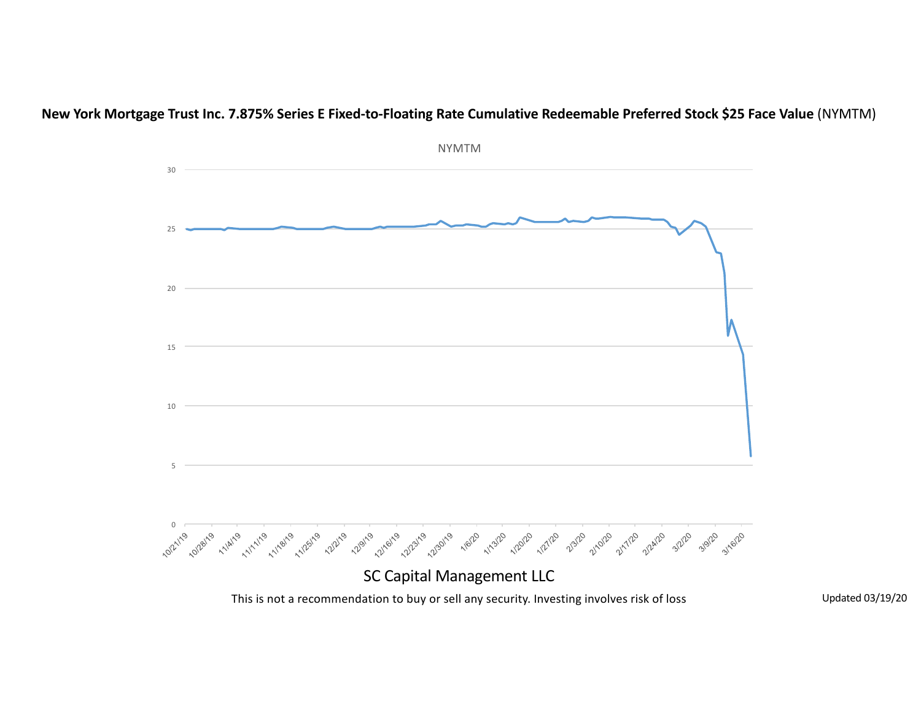

**New York Mortgage Trust Inc. 7.875% Series E Fixed-to-Floating Rate Cumulative Redeemable Preferred Stock \$25 Face Value (NYMTM)**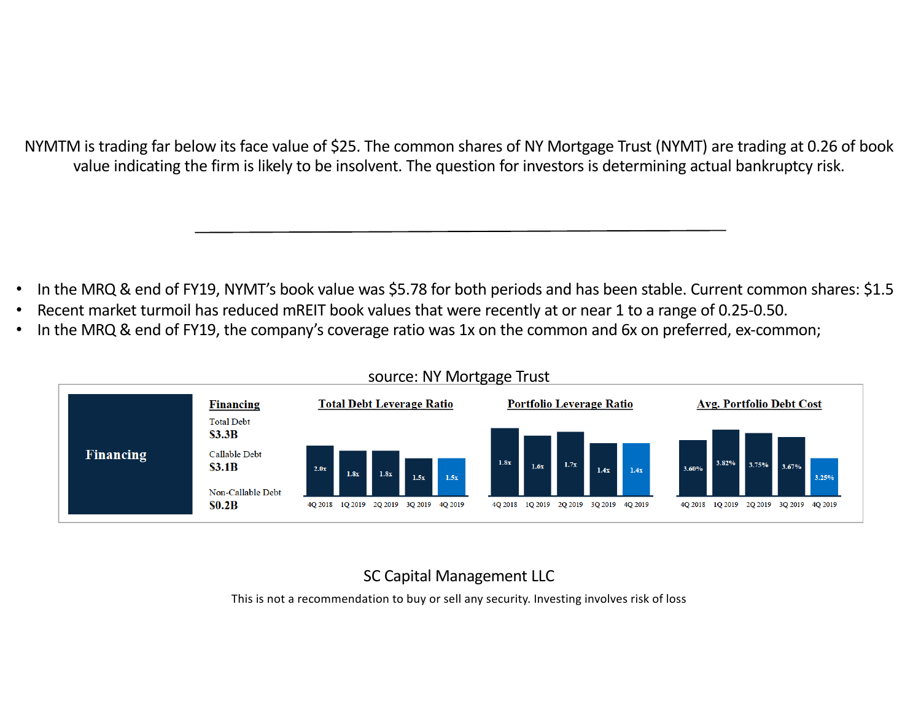NYMTM is trading far below its face value of \$25. The common shares of NY Mortgage Trust (NYMT) are trading at 0.26 of book value indicating the firm is likely to be insolvent. The question for investors is determining actual bankruptcy risk.

- In the MRQ & end of FY19, NYMT's book value was \$5.78 for both periods and has been stable. Current common shares: \$1.5
- Recent market turmoil has reduced mREIT book values that were recently at or near 1 to a range of 0.25-0.50.
- In the MRQ & end of FY19, the company's coverage ratio was 1x on the common and 6x on preferred, ex-common;



## source: NY Mortgage Trust

# SC Capital Management LLC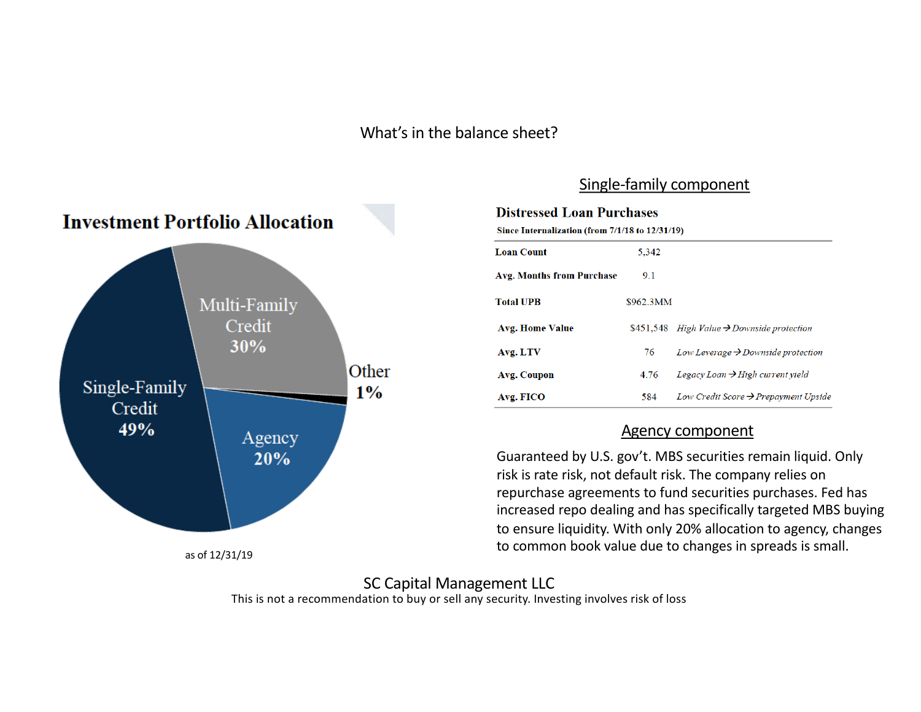What's in the balance sheet?



## Single-family component

#### **Distressed Loan Purchases**

Since Internalization (from 7/1/18 to 12/31/19)

| <b>Loan Count</b>         | 5.342     |                                                  |
|---------------------------|-----------|--------------------------------------------------|
| Avg. Months from Purchase | 9.1       |                                                  |
| <b>Total UPB</b>          | \$962.3MM |                                                  |
| <b>Avg. Home Value</b>    | \$451.548 | High Value $\rightarrow$ Downside protection     |
| Avg. LTV                  | 76        | Low Leverage $\rightarrow$ Downside protection   |
| Avg. Coupon               | 4.76      | Legacy Loan $\rightarrow$ High current yield     |
| Avg. FICO                 | 584       | Low Credit Score $\rightarrow$ Prepayment Upside |

#### Agency component

Guaranteed by U.S. gov't. MBS securities remain liquid. Only risk is rate risk, not default risk. The company relies on repurchase agreements to fund securities purchases. Fed has increased repo dealing and has specifically targeted MBS buying to ensure liquidity. With only 20% allocation to agency, changes to common book value due to changes in spreads is small.

#### This is not a recommendation to buy or sell any security. Investing involves risk of loss SC Capital Management LLC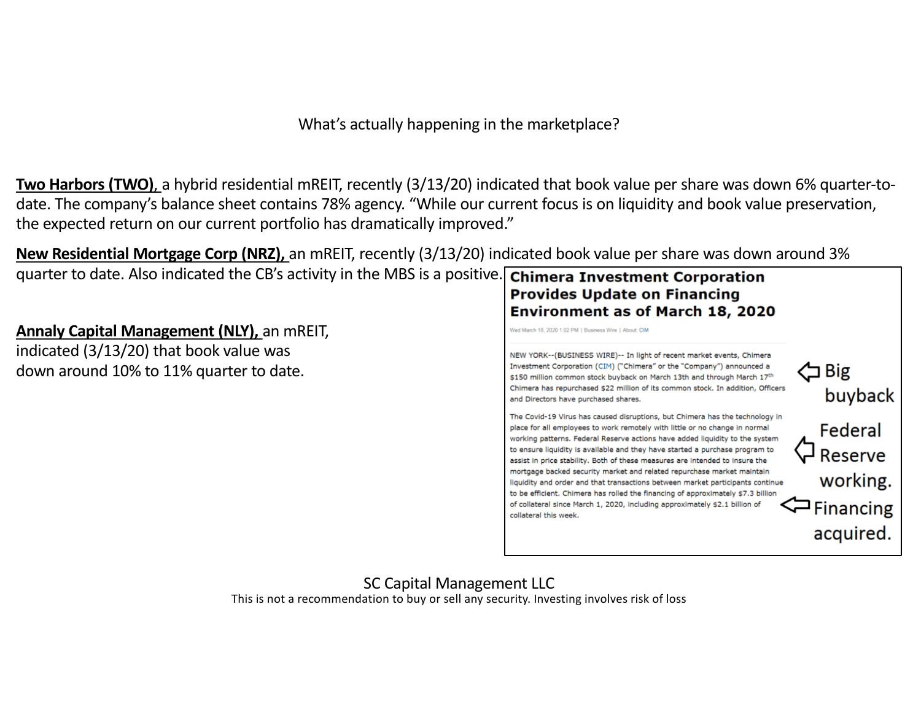What's actually happening in the marketplace?

**Two Harbors (TWO)**, a hybrid residential mREIT, recently (3/13/20) indicated that book value per share was down 6% quarter-todate. The company's balance sheet contains 78% agency. "While our current focus is on liquidity and book value preservation, the expected return on our current portfolio has dramatically improved."

**New Residential Mortgage Corp (NRZ),** an mREIT, recently (3/13/20) indicated book value per share was down around 3%

quarter to date. Also indicated the CB's activity in the MBS is a positive. Chimera Investment Corporation

**Annaly Capital Management (NLY), an mREIT,** indicated  $(3/13/20)$  that book value was down around 10% to 11% quarter to date.



NEW YORK--(BUSINESS WIRE)-- In light of recent market events, Chimera Investment Corporation (CIM) ("Chimera" or the "Company") announced a くコ Big \$150 million common stock buyback on March 13th and through March 17<sup>th</sup> Chimera has repurchased \$22 million of its common stock. In addition, Officers and Directors have purchased shares. The Covid-19 Virus has caused disruptions, but Chimera has the technology in place for all employees to work remotely with little or no change in normal working patterns. Federal Reserve actions have added liquidity to the system to ensure liquidity is available and they have started a purchase program to assist in price stability. Both of these measures are intended to insure the mortgage backed security market and related repurchase market maintain liquidity and order and that transactions between market participants continue to be efficient. Chimera has rolled the financing of approximately \$7.3 billion of collateral since March 1, 2020, including approximately \$2.1 billion of collateral this week.



acquired.

# SC Capital Management LLC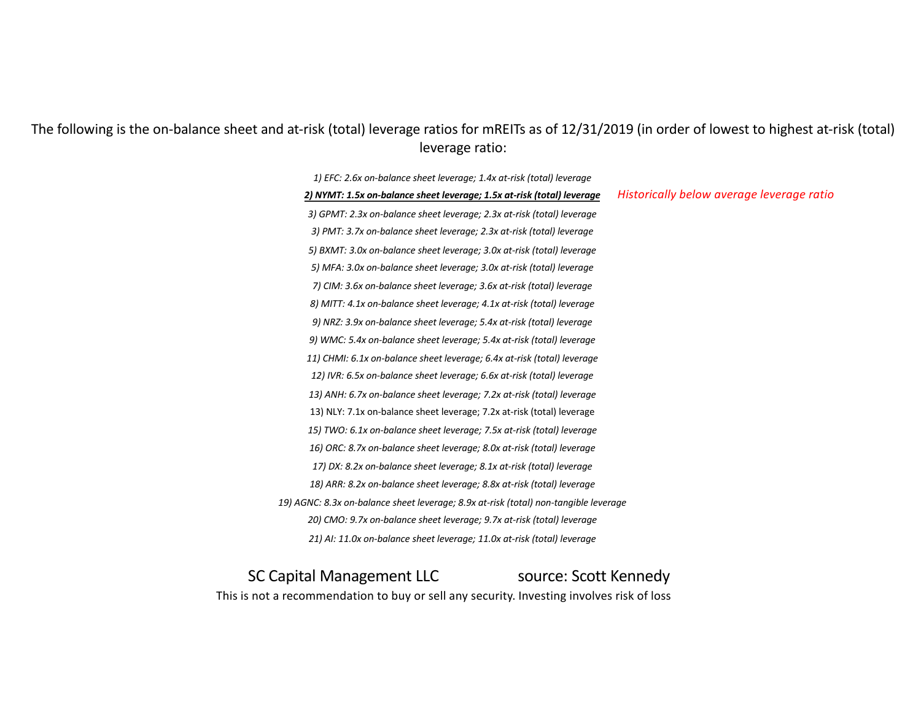### The following is the on-balance sheet and at-risk (total) leverage ratios for mREITs as of 12/31/2019 (in order of lowest to highest at-risk (total) leverage ratio:

1) EFC: 2.6x on-balance sheet leverage; 1.4x at-risk (total) leverage *2) NYMT: 1.5x on-balance sheet leverage; 1.5x at-risk (total) leverage 3) GPMT: 2.3x on-balance sheet leverage; 2.3x at-risk (total) leverage* 3) PMT: 3.7x on-balance sheet leverage; 2.3x at-risk (total) leverage *5) BXMT: 3.0x on-balance sheet leverage; 3.0x at-risk (total) leverage 5) MFA: 3.0x on-balance sheet leverage; 3.0x at-risk (total) leverage 7) CIM: 3.6x on-balance sheet leverage; 3.6x at-risk (total) leverage 8) MITT: 4.1x on-balance sheet leverage; 4.1x at-risk (total) leverage 9) NRZ: 3.9x on-balance sheet leverage; 5.4x at-risk (total) leverage 9) WMC: 5.4x on-balance sheet leverage; 5.4x at-risk (total) leverage* 11) CHMI: 6.1x on-balance sheet leverage; 6.4x at-risk (total) leverage 12) IVR: 6.5x on-balance sheet leverage; 6.6x at-risk (total) leverage 13) ANH: 6.7x on-balance sheet leverage; 7.2x at-risk (total) leverage 13) NLY: 7.1x on-balance sheet leverage; 7.2x at-risk (total) leverage 15) TWO: 6.1x on-balance sheet leverage; 7.5x at-risk (total) leverage *16) ORC: 8.7x on-balance sheet leverage; 8.0x at-risk (total) leverage* 17) DX: 8.2x on-balance sheet leverage; 8.1x at-risk (total) leverage 18) ARR: 8.2x on-balance sheet leverage; 8.8x at-risk (total) leverage 19) AGNC: 8.3x on-balance sheet leverage; 8.9x at-risk (total) non-tangible leverage *20) CMO: 9.7x on-balance sheet leverage; 9.7x at-risk (total) leverage* 21) AI: 11.0x on-balance sheet leverage; 11.0x at-risk (total) leverage *Historically below average leverage ratio*

# SC Capital Management LLC source: Scott Kennedy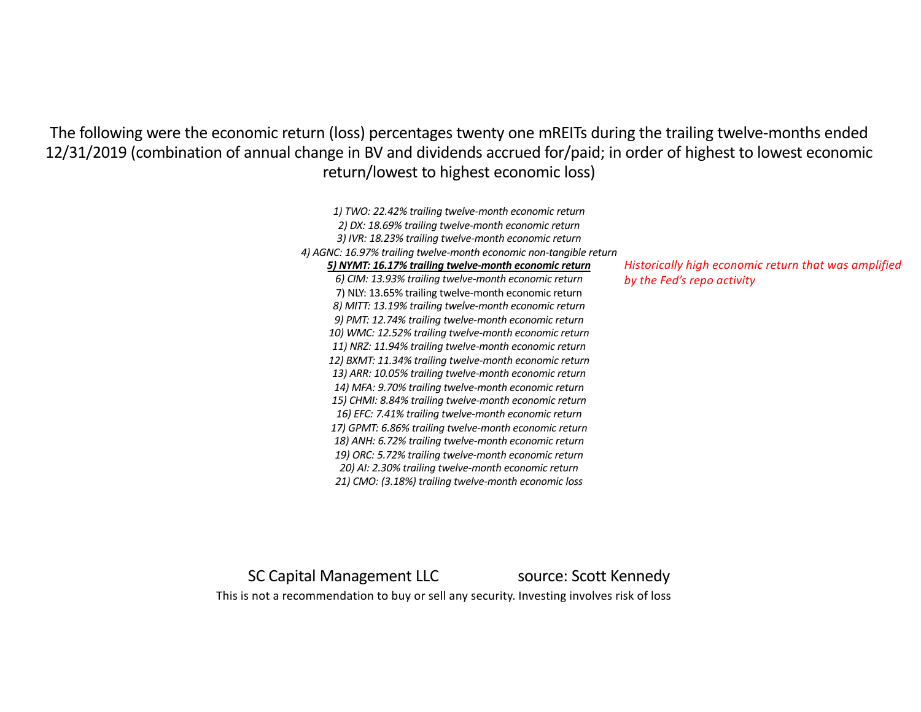The following were the economic return (loss) percentages twenty one mREITs during the trailing twelve-months ended 12/31/2019 (combination of annual change in BV and dividends accrued for/paid; in order of highest to lowest economic return/lowest to highest economic loss)

> *1) TWO: 22.42% trailing twelve-month economic return 2) DX: 18.69% trailing twelve-month economic return 3) IVR: 18.23% trailing twelve-month economic return 4) AGNC: 16.97% trailing twelve-month economic non-tangible return 5) NYMT: 16.17% trailing twelve-month economic return 6) CIM: 13.93% trailing twelve-month economic return* 7) NLY: 13.65% trailing twelve-month economic return *8) MITT: 13.19% trailing twelve-month economic return 9) PMT: 12.74% trailing twelve-month economic return 10) WMC: 12.52% trailing twelve-month economic return 11) NRZ: 11.94% trailing twelve-month economic return 12) BXMT: 11.34% trailing twelve-month economic return 13) ARR: 10.05% trailing twelve-month economic return 14) MFA: 9.70% trailing twelve-month economic return 15) CHMI: 8.84% trailing twelve-month economic return 16) EFC: 7.41% trailing twelve-month economic return 17) GPMT: 6.86% trailing twelve-month economic return* 18) ANH: 6.72% trailing twelve-month economic return *19) ORC: 5.72% trailing twelve-month economic return 20) AI: 2.30% trailing twelve-month economic return 21) CMO: (3.18%) trailing twelve-month economic loss Historically high economic return that was amplified by the Fed's repo activity*

SC Capital Management LLC source: Scott Kennedy This is not a recommendation to buy or sell any security. Investing involves risk of loss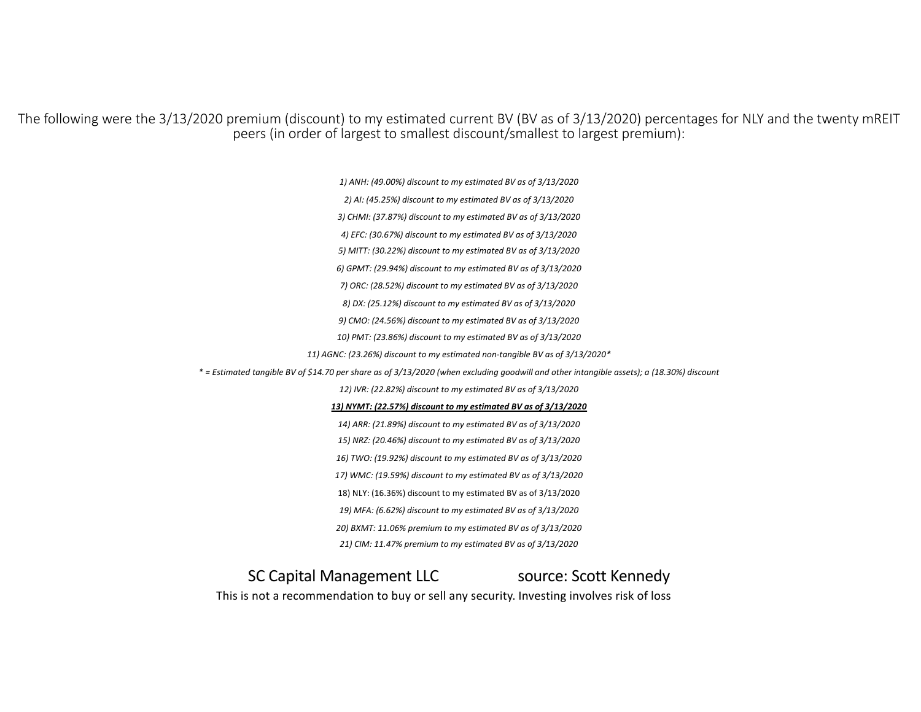The following were the 3/13/2020 premium (discount) to my estimated current BV (BV as of 3/13/2020) percentages for NLY and the twenty mREIT peers (in order of largest to smallest discount/smallest to largest premium):

*1) ANH: (49.00%) discount to my estimated BV as of 3/13/2020*

*2) AI: (45.25%) discount to my estimated BV as of 3/13/2020*

*3) CHMI: (37.87%) discount to my estimated BV as of 3/13/2020*

*4) EFC: (30.67%) discount to my estimated BV as of 3/13/2020*

*5) MITT: (30.22%) discount to my estimated BV as of 3/13/2020*

*6) GPMT: (29.94%) discount to my estimated BV as of 3/13/2020*

*7) ORC: (28.52%) discount to my estimated BV as of 3/13/2020*

*8) DX: (25.12%) discount to my estimated BV as of 3/13/2020*

*9) CMO: (24.56%) discount to my estimated BV as of 3/13/2020*

10) PMT: (23.86%) discount to my estimated BV as of 3/13/2020

11) AGNC: (23.26%) discount to my estimated non-tangible BV as of 3/13/2020<sup>\*</sup>

*\* = Estimated tangible BV of \$14.70 per share as of 3/13/2020 (when excluding goodwill and other intangible assets); a (18.30%) discount*

*12) IVR: (22.82%) discount to my estimated BV as of 3/13/2020*

13) NYMT: (22.57%) discount to my estimated BV as of 3/13/2020

*14) ARR: (21.89%) discount to my estimated BV as of 3/13/2020*

*15) NRZ: (20.46%) discount to my estimated BV as of 3/13/2020*

16) TWO: (19.92%) discount to my estimated BV as of 3/13/2020

17) WMC: (19.59%) discount to my estimated BV as of 3/13/2020

18) NLY: (16.36%) discount to my estimated BV as of 3/13/2020

19) MFA: (6.62%) discount to my estimated BV as of 3/13/2020

20) BXMT: 11.06% premium to my estimated BV as of 3/13/2020

*21) CIM: 11.47% premium to my estimated BV as of 3/13/2020*

SC Capital Management LLC source: Scott Kennedy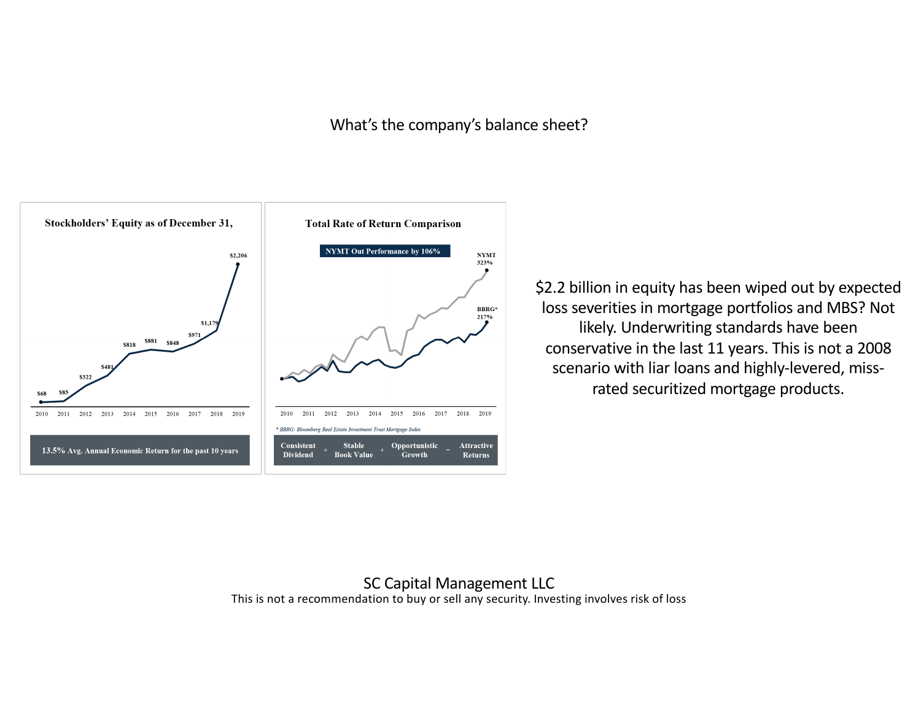## What's the company's balance sheet?



\$2.2 billion in equity has been wiped out by expected loss severities in mortgage portfolios and MBS? Not likely. Underwriting standards have been conservative in the last 11 years. This is not a 2008 scenario with liar loans and highly-levered, missrated securitized mortgage products.

#### This is not a recommendation to buy or sell any security. Investing involves risk of loss SC Capital Management LLC